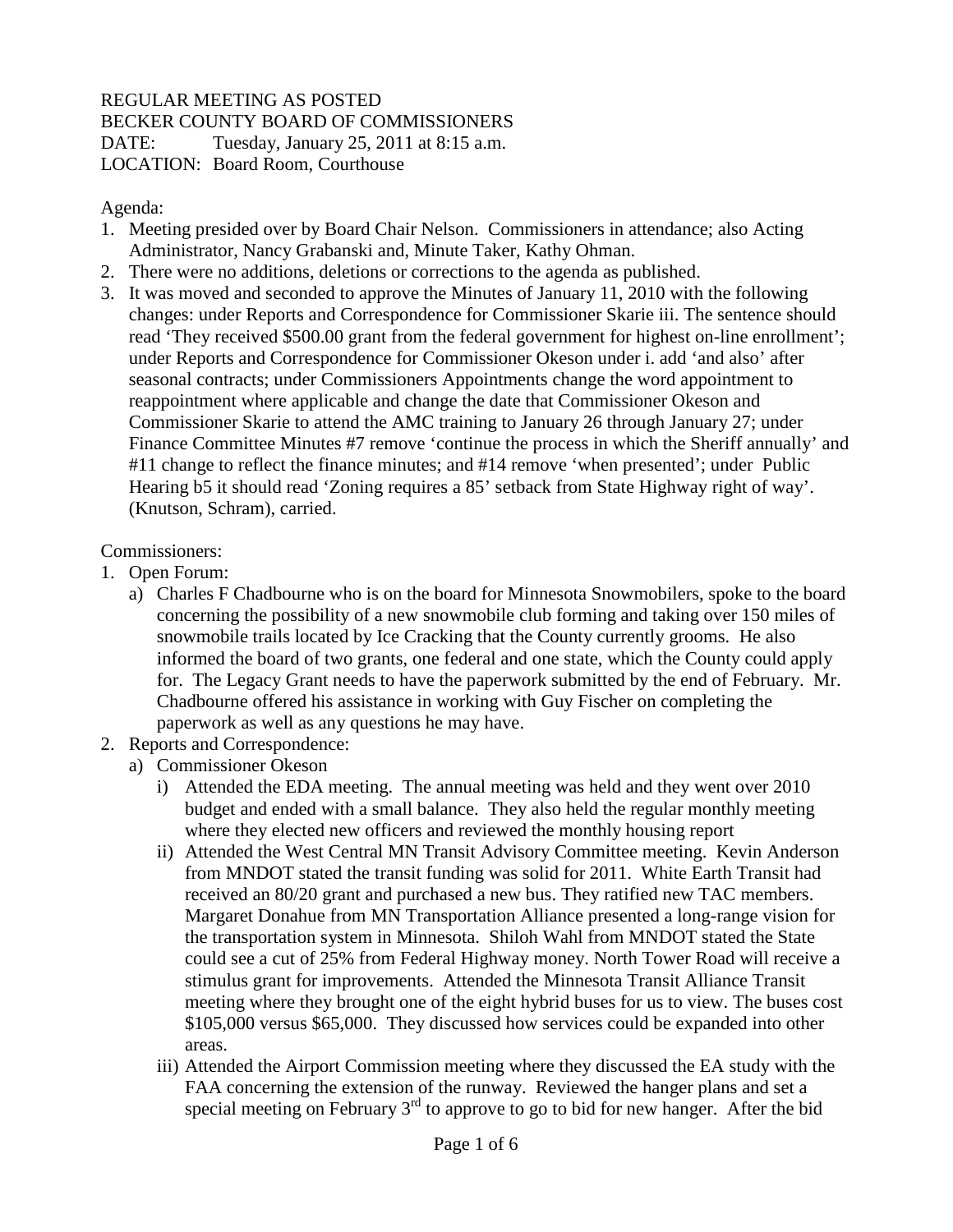## REGULAR MEETING AS POSTED BECKER COUNTY BOARD OF COMMISSIONERS DATE: Tuesday, January 25, 2011 at 8:15 a.m. LOCATION: Board Room, Courthouse

## Agenda:

- 1. Meeting presided over by Board Chair Nelson. Commissioners in attendance; also Acting Administrator, Nancy Grabanski and, Minute Taker, Kathy Ohman.
- 2. There were no additions, deletions or corrections to the agenda as published.
- 3. It was moved and seconded to approve the Minutes of January 11, 2010 with the following changes: under Reports and Correspondence for Commissioner Skarie iii. The sentence should read 'They received \$500.00 grant from the federal government for highest on-line enrollment'; under Reports and Correspondence for Commissioner Okeson under i. add 'and also' after seasonal contracts; under Commissioners Appointments change the word appointment to reappointment where applicable and change the date that Commissioner Okeson and Commissioner Skarie to attend the AMC training to January 26 through January 27; under Finance Committee Minutes #7 remove 'continue the process in which the Sheriff annually' and #11 change to reflect the finance minutes; and #14 remove 'when presented'; under Public Hearing b5 it should read 'Zoning requires a 85' setback from State Highway right of way'. (Knutson, Schram), carried.

## Commissioners:

- 1. Open Forum:
	- a) Charles F Chadbourne who is on the board for Minnesota Snowmobilers, spoke to the board concerning the possibility of a new snowmobile club forming and taking over 150 miles of snowmobile trails located by Ice Cracking that the County currently grooms. He also informed the board of two grants, one federal and one state, which the County could apply for. The Legacy Grant needs to have the paperwork submitted by the end of February. Mr. Chadbourne offered his assistance in working with Guy Fischer on completing the paperwork as well as any questions he may have.
- 2. Reports and Correspondence:
	- a) Commissioner Okeson
		- i) Attended the EDA meeting. The annual meeting was held and they went over 2010 budget and ended with a small balance. They also held the regular monthly meeting where they elected new officers and reviewed the monthly housing report
		- ii) Attended the West Central MN Transit Advisory Committee meeting. Kevin Anderson from MNDOT stated the transit funding was solid for 2011. White Earth Transit had received an 80/20 grant and purchased a new bus. They ratified new TAC members. Margaret Donahue from MN Transportation Alliance presented a long-range vision for the transportation system in Minnesota. Shiloh Wahl from MNDOT stated the State could see a cut of 25% from Federal Highway money. North Tower Road will receive a stimulus grant for improvements. Attended the Minnesota Transit Alliance Transit meeting where they brought one of the eight hybrid buses for us to view. The buses cost \$105,000 versus \$65,000. They discussed how services could be expanded into other areas.
		- iii) Attended the Airport Commission meeting where they discussed the EA study with the FAA concerning the extension of the runway. Reviewed the hanger plans and set a special meeting on February  $3<sup>rd</sup>$  to approve to go to bid for new hanger. After the bid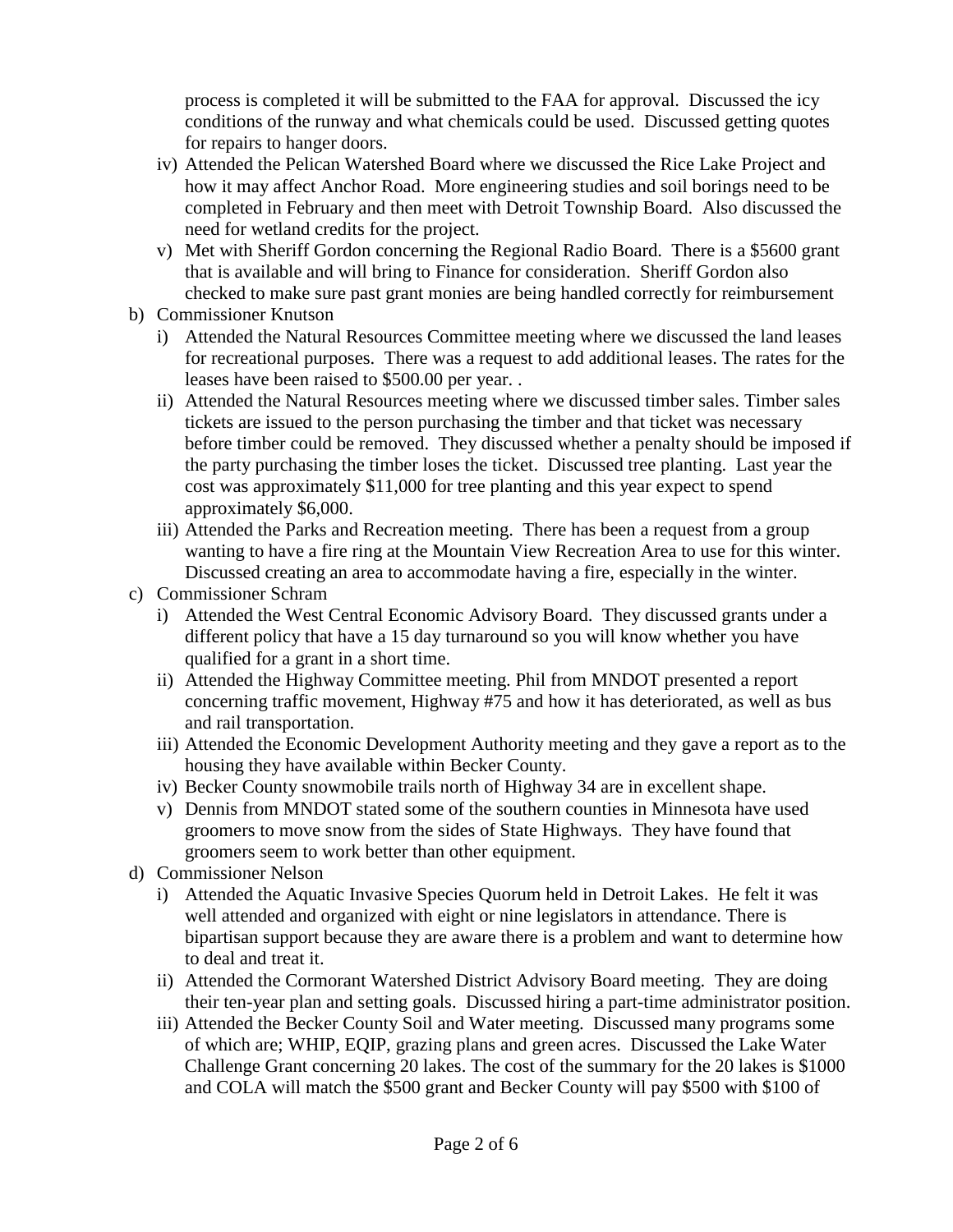process is completed it will be submitted to the FAA for approval. Discussed the icy conditions of the runway and what chemicals could be used. Discussed getting quotes for repairs to hanger doors.

- iv) Attended the Pelican Watershed Board where we discussed the Rice Lake Project and how it may affect Anchor Road. More engineering studies and soil borings need to be completed in February and then meet with Detroit Township Board. Also discussed the need for wetland credits for the project.
- v) Met with Sheriff Gordon concerning the Regional Radio Board. There is a \$5600 grant that is available and will bring to Finance for consideration. Sheriff Gordon also checked to make sure past grant monies are being handled correctly for reimbursement
- b) Commissioner Knutson
	- i) Attended the Natural Resources Committee meeting where we discussed the land leases for recreational purposes. There was a request to add additional leases. The rates for the leases have been raised to \$500.00 per year. .
	- ii) Attended the Natural Resources meeting where we discussed timber sales. Timber sales tickets are issued to the person purchasing the timber and that ticket was necessary before timber could be removed. They discussed whether a penalty should be imposed if the party purchasing the timber loses the ticket. Discussed tree planting. Last year the cost was approximately \$11,000 for tree planting and this year expect to spend approximately \$6,000.
	- iii) Attended the Parks and Recreation meeting. There has been a request from a group wanting to have a fire ring at the Mountain View Recreation Area to use for this winter. Discussed creating an area to accommodate having a fire, especially in the winter.
- c) Commissioner Schram
	- i) Attended the West Central Economic Advisory Board. They discussed grants under a different policy that have a 15 day turnaround so you will know whether you have qualified for a grant in a short time.
	- ii) Attended the Highway Committee meeting. Phil from MNDOT presented a report concerning traffic movement, Highway #75 and how it has deteriorated, as well as bus and rail transportation.
	- iii) Attended the Economic Development Authority meeting and they gave a report as to the housing they have available within Becker County.
	- iv) Becker County snowmobile trails north of Highway 34 are in excellent shape.
	- v) Dennis from MNDOT stated some of the southern counties in Minnesota have used groomers to move snow from the sides of State Highways. They have found that groomers seem to work better than other equipment.
- d) Commissioner Nelson
	- i) Attended the Aquatic Invasive Species Quorum held in Detroit Lakes. He felt it was well attended and organized with eight or nine legislators in attendance. There is bipartisan support because they are aware there is a problem and want to determine how to deal and treat it.
	- ii) Attended the Cormorant Watershed District Advisory Board meeting. They are doing their ten-year plan and setting goals. Discussed hiring a part-time administrator position.
	- iii) Attended the Becker County Soil and Water meeting. Discussed many programs some of which are; WHIP, EQIP, grazing plans and green acres. Discussed the Lake Water Challenge Grant concerning 20 lakes. The cost of the summary for the 20 lakes is \$1000 and COLA will match the \$500 grant and Becker County will pay \$500 with \$100 of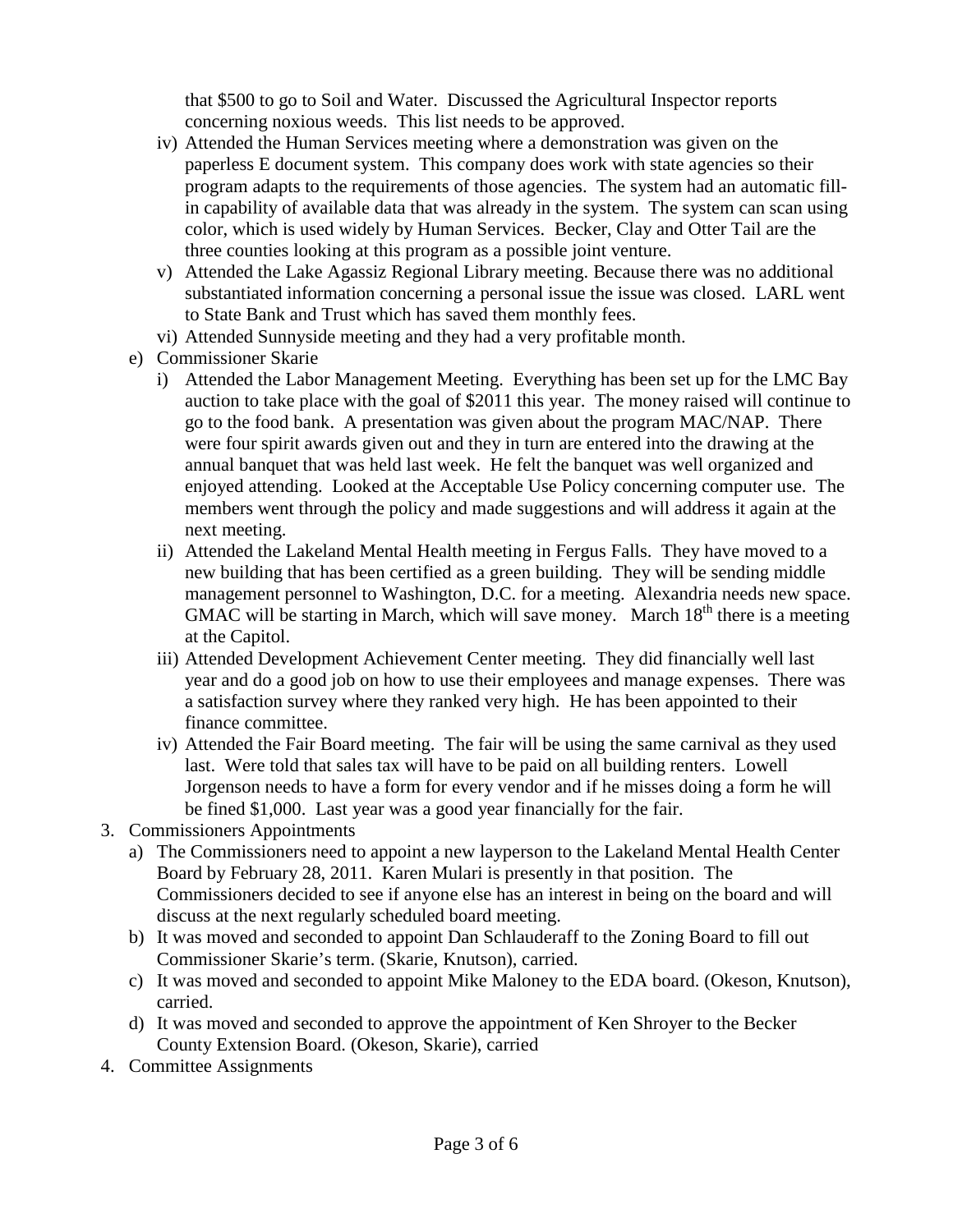that \$500 to go to Soil and Water. Discussed the Agricultural Inspector reports concerning noxious weeds. This list needs to be approved.

- iv) Attended the Human Services meeting where a demonstration was given on the paperless E document system. This company does work with state agencies so their program adapts to the requirements of those agencies. The system had an automatic fillin capability of available data that was already in the system. The system can scan using color, which is used widely by Human Services. Becker, Clay and Otter Tail are the three counties looking at this program as a possible joint venture.
- v) Attended the Lake Agassiz Regional Library meeting. Because there was no additional substantiated information concerning a personal issue the issue was closed. LARL went to State Bank and Trust which has saved them monthly fees.
- vi) Attended Sunnyside meeting and they had a very profitable month.
- e) Commissioner Skarie
	- i) Attended the Labor Management Meeting. Everything has been set up for the LMC Bay auction to take place with the goal of \$2011 this year. The money raised will continue to go to the food bank. A presentation was given about the program MAC/NAP. There were four spirit awards given out and they in turn are entered into the drawing at the annual banquet that was held last week. He felt the banquet was well organized and enjoyed attending. Looked at the Acceptable Use Policy concerning computer use. The members went through the policy and made suggestions and will address it again at the next meeting.
	- ii) Attended the Lakeland Mental Health meeting in Fergus Falls. They have moved to a new building that has been certified as a green building. They will be sending middle management personnel to Washington, D.C. for a meeting. Alexandria needs new space. GMAC will be starting in March, which will save money. March  $18<sup>th</sup>$  there is a meeting at the Capitol.
	- iii) Attended Development Achievement Center meeting. They did financially well last year and do a good job on how to use their employees and manage expenses. There was a satisfaction survey where they ranked very high. He has been appointed to their finance committee.
	- iv) Attended the Fair Board meeting. The fair will be using the same carnival as they used last. Were told that sales tax will have to be paid on all building renters. Lowell Jorgenson needs to have a form for every vendor and if he misses doing a form he will be fined \$1,000. Last year was a good year financially for the fair.
- 3. Commissioners Appointments
	- a) The Commissioners need to appoint a new layperson to the Lakeland Mental Health Center Board by February 28, 2011. Karen Mulari is presently in that position. The Commissioners decided to see if anyone else has an interest in being on the board and will discuss at the next regularly scheduled board meeting.
	- b) It was moved and seconded to appoint Dan Schlauderaff to the Zoning Board to fill out Commissioner Skarie's term. (Skarie, Knutson), carried.
	- c) It was moved and seconded to appoint Mike Maloney to the EDA board. (Okeson, Knutson), carried.
	- d) It was moved and seconded to approve the appointment of Ken Shroyer to the Becker County Extension Board. (Okeson, Skarie), carried
- 4. Committee Assignments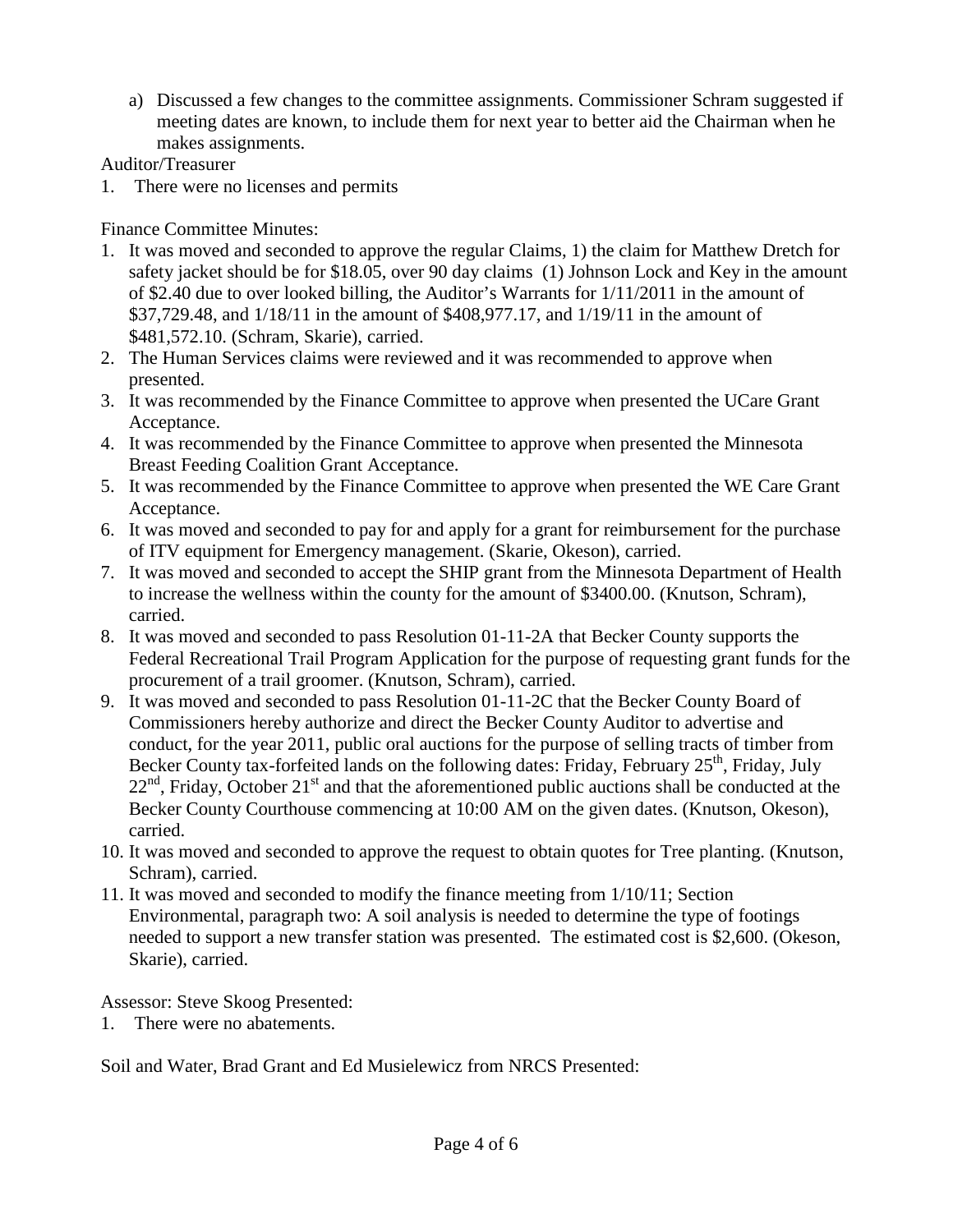a) Discussed a few changes to the committee assignments. Commissioner Schram suggested if meeting dates are known, to include them for next year to better aid the Chairman when he makes assignments.

Auditor/Treasurer

1. There were no licenses and permits

Finance Committee Minutes:

- 1. It was moved and seconded to approve the regular Claims, 1) the claim for Matthew Dretch for safety jacket should be for \$18.05, over 90 day claims (1) Johnson Lock and Key in the amount of \$2.40 due to over looked billing, the Auditor's Warrants for 1/11/2011 in the amount of \$37,729.48, and 1/18/11 in the amount of \$408,977.17, and 1/19/11 in the amount of \$481,572.10. (Schram, Skarie), carried.
- 2. The Human Services claims were reviewed and it was recommended to approve when presented.
- 3. It was recommended by the Finance Committee to approve when presented the UCare Grant Acceptance.
- 4. It was recommended by the Finance Committee to approve when presented the Minnesota Breast Feeding Coalition Grant Acceptance.
- 5. It was recommended by the Finance Committee to approve when presented the WE Care Grant Acceptance.
- 6. It was moved and seconded to pay for and apply for a grant for reimbursement for the purchase of ITV equipment for Emergency management. (Skarie, Okeson), carried.
- 7. It was moved and seconded to accept the SHIP grant from the Minnesota Department of Health to increase the wellness within the county for the amount of \$3400.00. (Knutson, Schram), carried.
- 8. It was moved and seconded to pass Resolution 01-11-2A that Becker County supports the Federal Recreational Trail Program Application for the purpose of requesting grant funds for the procurement of a trail groomer. (Knutson, Schram), carried.
- 9. It was moved and seconded to pass Resolution 01-11-2C that the Becker County Board of Commissioners hereby authorize and direct the Becker County Auditor to advertise and conduct, for the year 2011, public oral auctions for the purpose of selling tracts of timber from Becker County tax-forfeited lands on the following dates: Friday, February  $25<sup>th</sup>$ , Friday, July  $22<sup>nd</sup>$ , Friday, October  $21<sup>st</sup>$  and that the aforementioned public auctions shall be conducted at the Becker County Courthouse commencing at 10:00 AM on the given dates. (Knutson, Okeson), carried.
- 10. It was moved and seconded to approve the request to obtain quotes for Tree planting. (Knutson, Schram), carried.
- 11. It was moved and seconded to modify the finance meeting from 1/10/11; Section Environmental, paragraph two: A soil analysis is needed to determine the type of footings needed to support a new transfer station was presented. The estimated cost is \$2,600. (Okeson, Skarie), carried.

Assessor: Steve Skoog Presented:

1. There were no abatements.

Soil and Water, Brad Grant and Ed Musielewicz from NRCS Presented: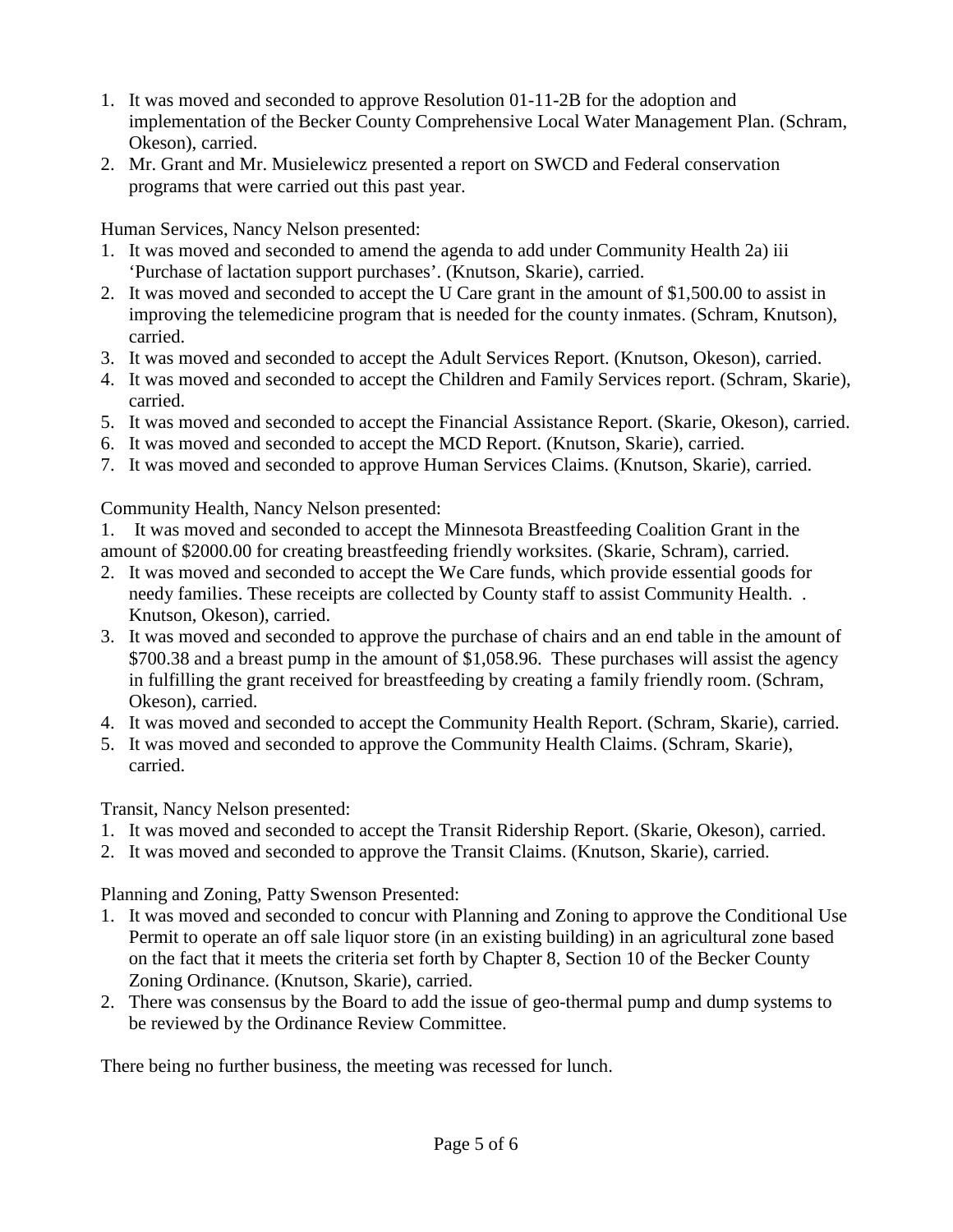- 1. It was moved and seconded to approve Resolution 01-11-2B for the adoption and implementation of the Becker County Comprehensive Local Water Management Plan. (Schram, Okeson), carried.
- 2. Mr. Grant and Mr. Musielewicz presented a report on SWCD and Federal conservation programs that were carried out this past year.

Human Services, Nancy Nelson presented:

- 1. It was moved and seconded to amend the agenda to add under Community Health 2a) iii 'Purchase of lactation support purchases'. (Knutson, Skarie), carried.
- 2. It was moved and seconded to accept the U Care grant in the amount of \$1,500.00 to assist in improving the telemedicine program that is needed for the county inmates. (Schram, Knutson), carried.
- 3. It was moved and seconded to accept the Adult Services Report. (Knutson, Okeson), carried.
- 4. It was moved and seconded to accept the Children and Family Services report. (Schram, Skarie), carried.
- 5. It was moved and seconded to accept the Financial Assistance Report. (Skarie, Okeson), carried.
- 6. It was moved and seconded to accept the MCD Report. (Knutson, Skarie), carried.
- 7. It was moved and seconded to approve Human Services Claims. (Knutson, Skarie), carried.

Community Health, Nancy Nelson presented:

- 1. It was moved and seconded to accept the Minnesota Breastfeeding Coalition Grant in the amount of \$2000.00 for creating breastfeeding friendly worksites. (Skarie, Schram), carried.
- 2. It was moved and seconded to accept the We Care funds, which provide essential goods for needy families. These receipts are collected by County staff to assist Community Health. . Knutson, Okeson), carried.
- 3. It was moved and seconded to approve the purchase of chairs and an end table in the amount of \$700.38 and a breast pump in the amount of \$1,058.96. These purchases will assist the agency in fulfilling the grant received for breastfeeding by creating a family friendly room. (Schram, Okeson), carried.
- 4. It was moved and seconded to accept the Community Health Report. (Schram, Skarie), carried.
- 5. It was moved and seconded to approve the Community Health Claims. (Schram, Skarie), carried.

Transit, Nancy Nelson presented:

- 1. It was moved and seconded to accept the Transit Ridership Report. (Skarie, Okeson), carried.
- 2. It was moved and seconded to approve the Transit Claims. (Knutson, Skarie), carried.

Planning and Zoning, Patty Swenson Presented:

- 1. It was moved and seconded to concur with Planning and Zoning to approve the Conditional Use Permit to operate an off sale liquor store (in an existing building) in an agricultural zone based on the fact that it meets the criteria set forth by Chapter 8, Section 10 of the Becker County Zoning Ordinance. (Knutson, Skarie), carried.
- 2. There was consensus by the Board to add the issue of geo-thermal pump and dump systems to be reviewed by the Ordinance Review Committee.

There being no further business, the meeting was recessed for lunch.